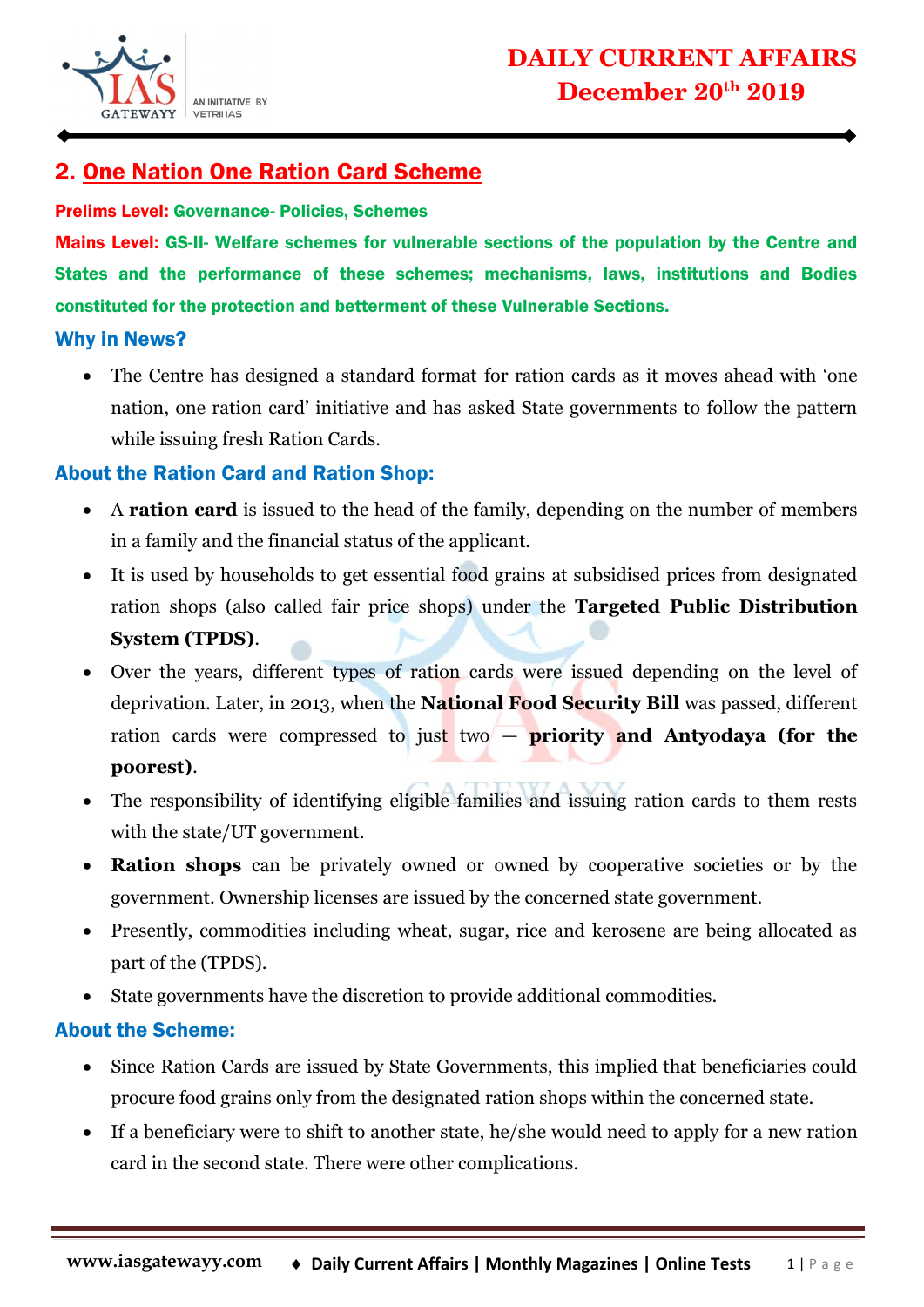

# 2. One Nation One Ration Card Scheme

#### Prelims Level: Governance- Policies, Schemes

Mains Level: GS-II- Welfare schemes for vulnerable sections of the population by the Centre and States and the performance of these schemes; mechanisms, laws, institutions and Bodies constituted for the protection and betterment of these Vulnerable Sections.

### Why in News?

• The Centre has designed a standard format for ration cards as it moves ahead with 'one nation, one ration card' initiative and has asked State governments to follow the pattern while issuing fresh Ration Cards.

### About the Ration Card and Ration Shop:

- A **ration card** is issued to the head of the family, depending on the number of members in a family and the financial status of the applicant.
- It is used by households to get essential food grains at subsidised prices from designated ration shops (also called fair price shops) under the **Targeted Public Distribution System (TPDS)**.
- Over the years, different types of ration cards were issued depending on the level of deprivation. Later, in 2013, when the **National Food Security Bill** was passed, different ration cards were compressed to just two — **priority and Antyodaya (for the poorest)**.
- The responsibility of identifying eligible families and issuing ration cards to them rests with the state/UT government.
- **Ration shops** can be privately owned or owned by cooperative societies or by the government. Ownership licenses are issued by the concerned state government.
- Presently, commodities including wheat, sugar, rice and kerosene are being allocated as part of the (TPDS).
- State governments have the discretion to provide additional commodities.

### About the Scheme:

- Since Ration Cards are issued by State Governments, this implied that beneficiaries could procure food grains only from the designated ration shops within the concerned state.
- If a beneficiary were to shift to another state, he/she would need to apply for a new ration card in the second state. There were other complications.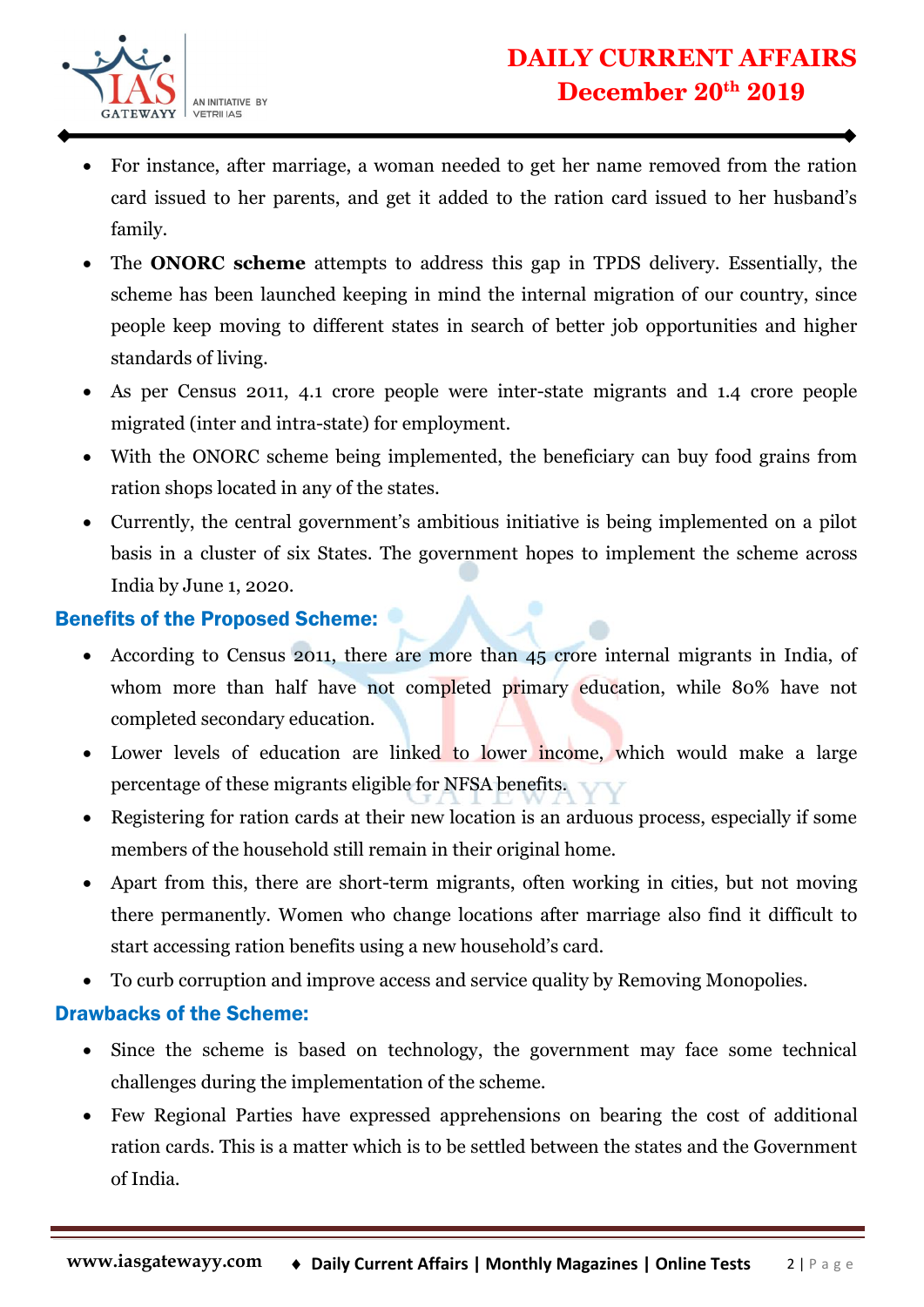

- For instance, after marriage, a woman needed to get her name removed from the ration card issued to her parents, and get it added to the ration card issued to her husband's family.
- The **ONORC scheme** attempts to address this gap in TPDS delivery. Essentially, the scheme has been launched keeping in mind the internal migration of our country, since people keep moving to different states in search of better job opportunities and higher standards of living.
- As per Census 2011, 4.1 crore people were inter-state migrants and 1.4 crore people migrated (inter and intra-state) for employment.
- With the ONORC scheme being implemented, the beneficiary can buy food grains from ration shops located in any of the states.
- Currently, the central government's ambitious initiative is being implemented on a pilot basis in a cluster of six States. The government hopes to implement the scheme across India by June 1, 2020.

## Benefits of the Proposed Scheme:

- According to Census 2011, there are more than 45 crore internal migrants in India, of whom more than half have not completed primary education, while 80% have not completed secondary education.
- Lower levels of education are linked to lower income, which would make a large percentage of these migrants eligible for NFSA benefits.
- Registering for ration cards at their new location is an arduous process, especially if some members of the household still remain in their original home.
- Apart from this, there are short-term migrants, often working in cities, but not moving there permanently. Women who change locations after marriage also find it difficult to start accessing ration benefits using a new household's card.
- To curb corruption and improve access and service quality by Removing Monopolies.

### Drawbacks of the Scheme:

- Since the scheme is based on technology, the government may face some technical challenges during the implementation of the scheme.
- Few Regional Parties have expressed apprehensions on bearing the cost of additional ration cards. This is a matter which is to be settled between the states and the Government of India.